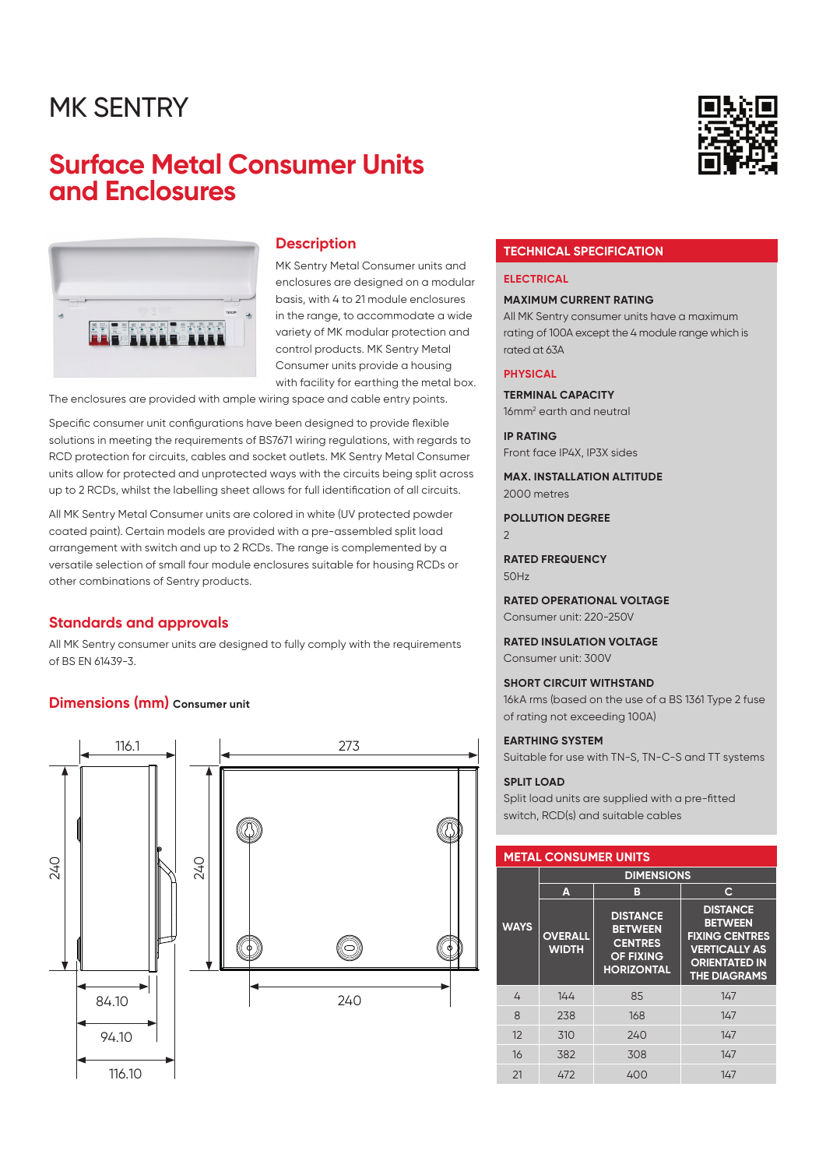### MK SENTRY

### **Surface Metal Consumer Units and Enclosures**



#### **Description**

MK Sentry Metal Consumer units and enclosures are designed on a modular basis, with 4 to 21 module enclosures in the range, to accommodate a wide variety of MK modular protection and control products. MK Sentry Metal Consumer units provide a housing with facility for earthing the metal box.

The enclosures are provided with ample wiring space and cable entry points.

Specific consumer unit configurations have been designed to provide flexible solutions in meeting the requirements of BS7671 wiring regulations, with regards to RCD protection for circuits, cables and socket outlets. MK Sentry Metal Consumer units allow for protected and unprotected ways with the circuits being split across up to 2 RCDs, whilst the labelling sheet allows for full identification of all circuits.

All MK Sentry Metal Consumer units are colored in white (UV protected powder coated paint). Certain models are provided with a pre-assembled split load arrangement with switch and up to 2 RCDs. The range is complemented by a versatile selection of small four module enclosures suitable for housing RCDs or other combinations of Sentry products.

#### **Standards and approvals**

All MK Sentry consumer units are designed to fully comply with the requirements of BS EN 61439-3.

#### **Dimensions (mm)** Consumer unit



#### **TECHNICAL SPECIFICATION**

#### **ELECTRICAL**

#### **MAXIMUM CURRENT RATING**

All MK Sentry consumer units have a maximum rating of 100A except the 4 module range which is rated at 63A

#### **PHYSICAL**

**TERMINAL CAPACITY** 16mm<sup>2</sup> earth and neutral

**IP RATING**

Front face IP4X, IP3X sides

**MAX. INSTALLATION ALTITUDE** 2000 metres

**POLLUTION DEGREE**

2

**RATED FREQUENCY** 50Hz

**RATED OPERATIONAL VOLTAGE** Consumer unit: 220-250V

**RATED INSULATION VOLTAGE** Consumer unit: 300V

**SHORT CIRCUIT WITHSTAND** 16kA rms (based on the use of a BS 1361 Type 2 fuse of rating not exceeding 100A)

**EARTHING SYSTEM** Suitable for use with TN-S, TN-C-S and TT systems

#### **SPLIT LOAD**

Split load units are supplied with a pre-fitted switch, RCD(s) and suitable cables

#### **METAL CONSUMER UNITS**

|              | <b>DIMENSIONS</b>              |                                                                                              |                                                                                                                                   |  |  |
|--------------|--------------------------------|----------------------------------------------------------------------------------------------|-----------------------------------------------------------------------------------------------------------------------------------|--|--|
|              | A                              | B                                                                                            | С                                                                                                                                 |  |  |
| <b>WAYS</b>  | <b>OVERALL</b><br><b>WIDTH</b> | <b>DISTANCE</b><br><b>BETWEEN</b><br><b>CENTRES</b><br><b>OF FIXING</b><br><b>HORIZONTAL</b> | <b>DISTANCE</b><br><b>BETWEEN</b><br><b>FIXING CENTRES</b><br><b>VERTICALLY AS</b><br><b>ORIENTATED IN</b><br><b>THE DIAGRAMS</b> |  |  |
| 4            | 144                            | 85                                                                                           | 147                                                                                                                               |  |  |
| $\mathsf{B}$ | 238                            | 168                                                                                          | 147                                                                                                                               |  |  |
| 12           | 310                            | 240                                                                                          | 147                                                                                                                               |  |  |
| 16           | 382                            | 308                                                                                          | 147                                                                                                                               |  |  |
| 21           | 472                            | 400                                                                                          | 147                                                                                                                               |  |  |

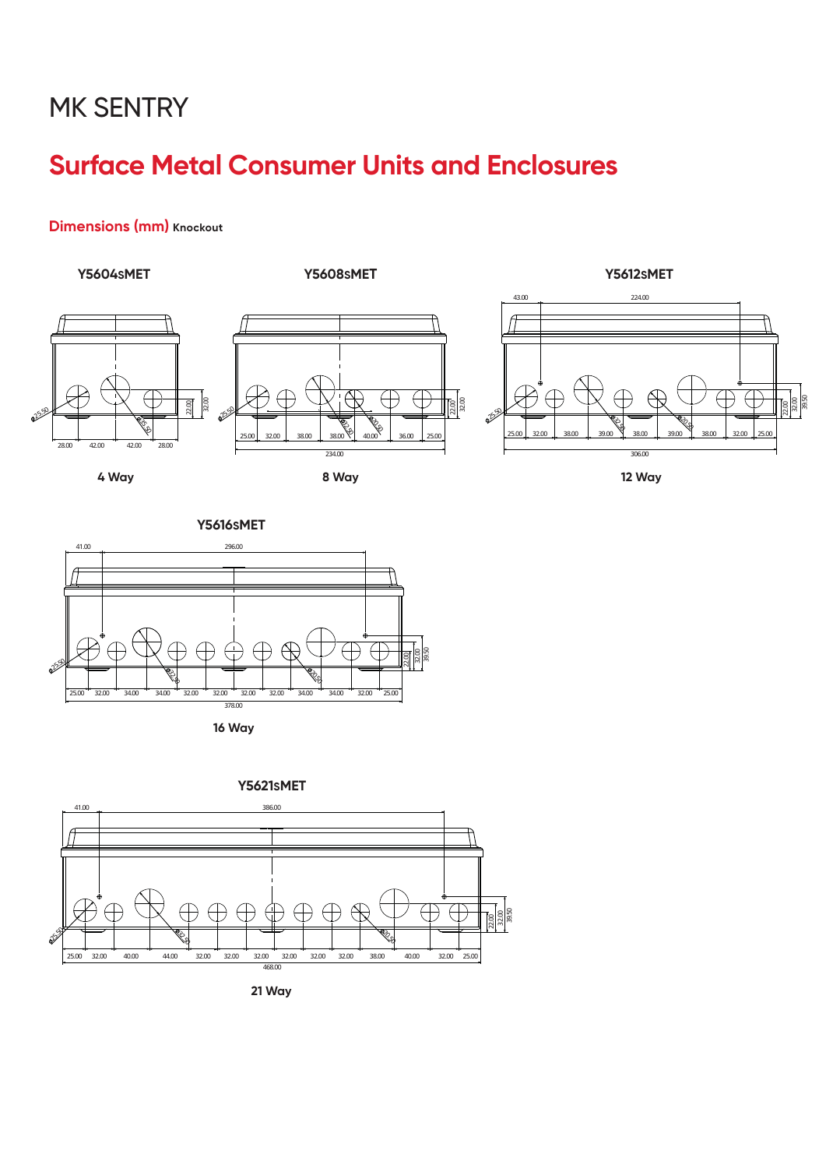## **MK SENTRY**

## **Surface Metal Consumer Units and Enclosures**

### **Dimensions (mm)** Knockout



 $\frac{22.00}{39.50}$ 



**16 Way**



**21 Way**